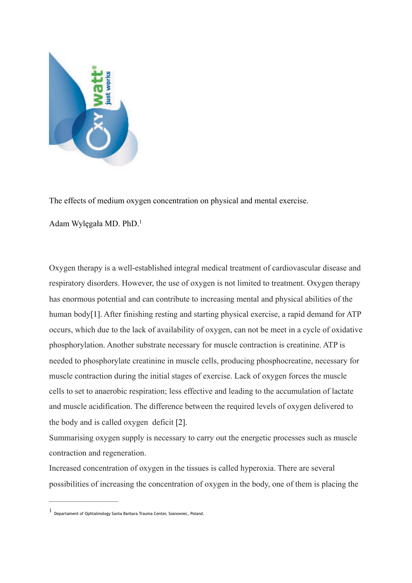

The effects of medium oxygen concentration on physical and mental exercise.

<span id="page-0-1"></span>Adam Wylęgała MD. PhD[.1](#page-0-0)

Oxygen therapy is a well-established integral medical treatment of cardiovascular disease and respiratory disorders. However, the use of oxygen is not limited to treatment. Oxygen therapy has enormous potential and can contribute to increasing mental and physical abilities of the human body[1]. After finishing resting and starting physical exercise, a rapid demand for ATP occurs, which due to the lack of availability of oxygen, can not be meet in a cycle of oxidative phosphorylation. Another substrate necessary for muscle contraction is creatinine. ATP is needed to phosphorylate creatinine in muscle cells, producing phosphocreatine, necessary for muscle contraction during the initial stages of exercise. Lack of oxygen forces the muscle cells to set to anaerobic respiration; less effective and leading to the accumulation of lactate and muscle acidification. The difference between the required levels of oxygen delivered to the body and is called oxygen deficit [2].

Summarising oxygen supply is necessary to carry out the energetic processes such as muscle contraction and regeneration.

Increased concentration of oxygen in the tissues is called hyperoxia. There are several possibilities of increasing the concentration of oxygen in the body, one of them is placing the

<span id="page-0-0"></span>Departament of Ophtalmology Santa Barbara Trauma Center, Sosnowiec, Poland. [1](#page-0-1)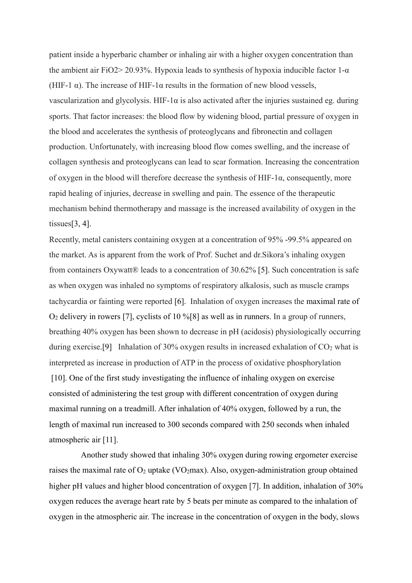patient inside a hyperbaric chamber or inhaling air with a higher oxygen concentration than the ambient air FiO2> 20.93%. Hypoxia leads to synthesis of hypoxia inducible factor  $1-\alpha$ (HIF-1  $\alpha$ ). The increase of HIF-1 $\alpha$  results in the formation of new blood vessels, vascularization and glycolysis. HIF-1α is also activated after the injuries sustained eg. during sports. That factor increases: the blood flow by widening blood, partial pressure of oxygen in the blood and accelerates the synthesis of proteoglycans and fibronectin and collagen production. Unfortunately, with increasing blood flow comes swelling, and the increase of collagen synthesis and proteoglycans can lead to scar formation. Increasing the concentration of oxygen in the blood will therefore decrease the synthesis of HIF-1 $\alpha$ , consequently, more rapid healing of injuries, decrease in swelling and pain. The essence of the therapeutic mechanism behind thermotherapy and massage is the increased availability of oxygen in the tissues $[3, 4]$ .

Recently, metal canisters containing oxygen at a concentration of 95% -99.5% appeared on the market. As is apparent from the work of Prof. Suchet and dr.Sikora's inhaling oxygen from containers Oxywatt® leads to a concentration of 30.62% [5]. Such concentration is safe as when oxygen was inhaled no symptoms of respiratory alkalosis, such as muscle cramps tachycardia or fainting were reported [6]. Inhalation of oxygen increases the maximal rate of  $O<sub>2</sub>$  delivery in rowers [7], cyclists of 10 %[8] as well as in runners. In a group of runners, breathing 40% oxygen has been shown to decrease in pH (acidosis) physiologically occurring during exercise.<sup>[9]</sup> Inhalation of 30% oxygen results in increased exhalation of  $CO<sub>2</sub>$  what is interpreted as increase in production of ATP in the process of oxidative phosphorylation [10]. One of the first study investigating the influence of inhaling oxygen on exercise consisted of administering the test group with different concentration of oxygen during maximal running on a treadmill. After inhalation of 40% oxygen, followed by a run, the length of maximal run increased to 300 seconds compared with 250 seconds when inhaled atmospheric air [11].

 Another study showed that inhaling 30% oxygen during rowing ergometer exercise raises the maximal rate of  $O_2$  uptake (VO<sub>2</sub>max). Also, oxygen-administration group obtained higher pH values and higher blood concentration of oxygen [7]. In addition, inhalation of 30% oxygen reduces the average heart rate by 5 beats per minute as compared to the inhalation of oxygen in the atmospheric air. The increase in the concentration of oxygen in the body, slows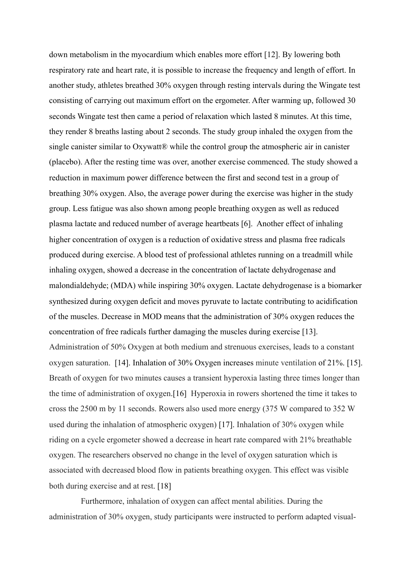down metabolism in the myocardium which enables more effort [12]. By lowering both respiratory rate and heart rate, it is possible to increase the frequency and length of effort. In another study, athletes breathed 30% oxygen through resting intervals during the Wingate test consisting of carrying out maximum effort on the ergometer. After warming up, followed 30 seconds Wingate test then came a period of relaxation which lasted 8 minutes. At this time, they render 8 breaths lasting about 2 seconds. The study group inhaled the oxygen from the single canister similar to Oxywatt® while the control group the atmospheric air in canister (placebo). After the resting time was over, another exercise commenced. The study showed a reduction in maximum power difference between the first and second test in a group of breathing 30% oxygen. Also, the average power during the exercise was higher in the study group. Less fatigue was also shown among people breathing oxygen as well as reduced plasma lactate and reduced number of average heartbeats [6]. Another effect of inhaling higher concentration of oxygen is a reduction of oxidative stress and plasma free radicals produced during exercise. A blood test of professional athletes running on a treadmill while inhaling oxygen, showed a decrease in the concentration of lactate dehydrogenase and malondialdehyde; (MDA) while inspiring 30% oxygen. Lactate dehydrogenase is a biomarker synthesized during oxygen deficit and moves pyruvate to lactate contributing to acidification of the muscles. Decrease in MOD means that the administration of 30% oxygen reduces the concentration of free radicals further damaging the muscles during exercise [13]. Administration of 50% Oxygen at both medium and strenuous exercises, leads to a constant oxygen saturation. [14]. Inhalation of 30% Oxygen increases minute ventilation of 21%. [15]. Breath of oxygen for two minutes causes a transient hyperoxia lasting three times longer than the time of administration of oxygen.[16] Hyperoxia in rowers shortened the time it takes to cross the 2500 m by 11 seconds. Rowers also used more energy (375 W compared to 352 W used during the inhalation of atmospheric oxygen) [17]. Inhalation of 30% oxygen while riding on a cycle ergometer showed a decrease in heart rate compared with 21% breathable oxygen. The researchers observed no change in the level of oxygen saturation which is associated with decreased blood flow in patients breathing oxygen. This effect was visible both during exercise and at rest. [18]

 Furthermore, inhalation of oxygen can affect mental abilities. During the administration of 30% oxygen, study participants were instructed to perform adapted visual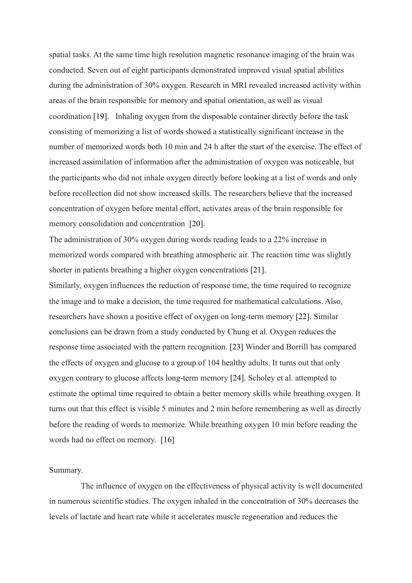spatial tasks. At the same time high resolution magnetic resonance imaging of the brain was conducted. Seven out of eight participants demonstrated improved visual spatial abilities during the administration of 30% oxygen. Research in MRI revealed increased activity within areas of the brain responsible for memory and spatial orientation, as well as visual coordination [19]. Inhaling oxygen from the disposable container directly before the task consisting of memorizing a list of words showed a statistically significant increase in the number of memorized words both 10 min and 24 h after the start of the exercise. The effect of increased assimilation of information after the administration of oxygen was noticeable, but the participants who did not inhale oxygen directly before looking at a list of words and only before recollection did not show increased skills. The researchers believe that the increased concentration of oxygen before mental effort, activates areas of the brain responsible for memory consolidation and concentration [20].

The administration of 30% oxygen during words reading leads to a 22% increase in memorized words compared with breathing atmospheric air. The reaction time was slightly shorter in patients breathing a higher oxygen concentrations [21].

Similarly, oxygen influences the reduction of response time, the time required to recognize the image and to make a decision, the time required for mathematical calculations. Also, researchers have shown a positive effect of oxygen on long-term memory [22]. Similar conclusions can be drawn from a study conducted by Chung et al. Oxygen reduces the response time associated with the pattern recognition. [23] Winder and Borrill has compared the effects of oxygen and glucose to a group of 104 healthy adults. It turns out that only oxygen contrary to glucose affects long-term memory [24]. Scholey et al. attempted to estimate the optimal time required to obtain a better memory skills while breathing oxygen. It turns out that this effect is visible 5 minutes and 2 min before remembering as well as directly before the reading of words to memorize. While breathing oxygen 10 min before reading the words had no effect on memory. [16]

## Summary.

 The influence of oxygen on the effectiveness of physical activity is well documented in numerous scientific studies. The oxygen inhaled in the concentration of 30% decreases the levels of lactate and heart rate while it accelerates muscle regeneration and reduces the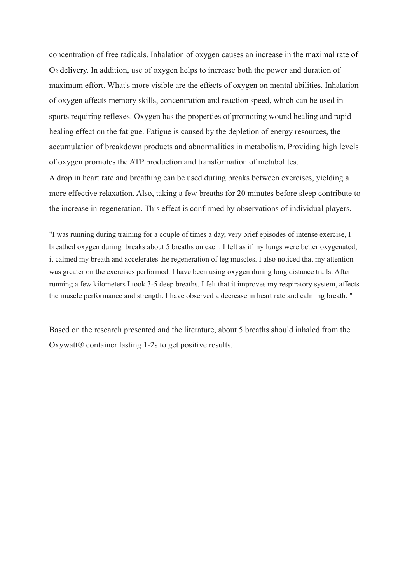concentration of free radicals. Inhalation of oxygen causes an increase in the maximal rate of O2 delivery. In addition, use of oxygen helps to increase both the power and duration of maximum effort. What's more visible are the effects of oxygen on mental abilities. Inhalation of oxygen affects memory skills, concentration and reaction speed, which can be used in sports requiring reflexes. Oxygen has the properties of promoting wound healing and rapid healing effect on the fatigue. Fatigue is caused by the depletion of energy resources, the accumulation of breakdown products and abnormalities in metabolism. Providing high levels of oxygen promotes the ATP production and transformation of metabolites.

A drop in heart rate and breathing can be used during breaks between exercises, yielding a more effective relaxation. Also, taking a few breaths for 20 minutes before sleep contribute to the increase in regeneration. This effect is confirmed by observations of individual players.

"I was running during training for a couple of times a day, very brief episodes of intense exercise, I breathed oxygen during breaks about 5 breaths on each. I felt as if my lungs were better oxygenated, it calmed my breath and accelerates the regeneration of leg muscles. I also noticed that my attention was greater on the exercises performed. I have been using oxygen during long distance trails. After running a few kilometers I took 3-5 deep breaths. I felt that it improves my respiratory system, affects the muscle performance and strength. I have observed a decrease in heart rate and calming breath. "

Based on the research presented and the literature, about 5 breaths should inhaled from the Oxywatt® container lasting 1-2s to get positive results.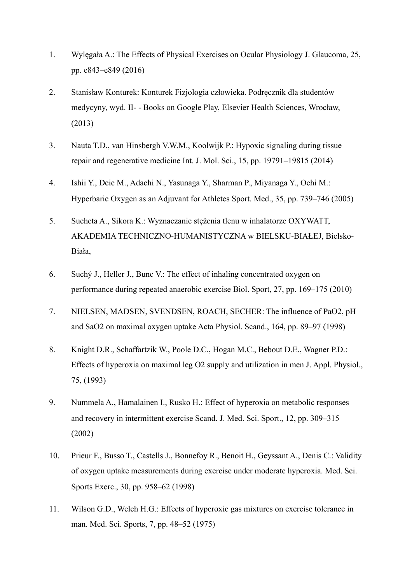- 1. Wylęgała A.: The Effects of Physical Exercises on Ocular Physiology J. Glaucoma, 25, pp. e843–e849 (2016)
- 2. Stanisław Konturek: Konturek Fizjologia człowieka. Podręcznik dla studentów medycyny, wyd. II- - Books on Google Play, Elsevier Health Sciences, Wrocław, (2013)
- 3. Nauta T.D., van Hinsbergh V.W.M., Koolwijk P.: Hypoxic signaling during tissue repair and regenerative medicine Int. J. Mol. Sci., 15, pp. 19791–19815 (2014)
- 4. Ishii Y., Deie M., Adachi N., Yasunaga Y., Sharman P., Miyanaga Y., Ochi M.: Hyperbaric Oxygen as an Adjuvant for Athletes Sport. Med., 35, pp. 739–746 (2005)
- 5. Sucheta A., Sikora K.: Wyznaczanie stężenia tlenu w inhalatorze OXYWATT, AKADEMIA TECHNICZNO-HUMANISTYCZNA w BIELSKU-BIAŁEJ, Bielsko-Biała,
- 6. Suchý J., Heller J., Bunc V.: The effect of inhaling concentrated oxygen on performance during repeated anaerobic exercise Biol. Sport, 27, pp. 169–175 (2010)
- 7. NIELSEN, MADSEN, SVENDSEN, ROACH, SECHER: The influence of PaO2, pH and SaO2 on maximal oxygen uptake Acta Physiol. Scand., 164, pp. 89–97 (1998)
- 8. Knight D.R., Schaffartzik W., Poole D.C., Hogan M.C., Bebout D.E., Wagner P.D.: Effects of hyperoxia on maximal leg O2 supply and utilization in men J. Appl. Physiol., 75, (1993)
- 9. Nummela A., Hamalainen I., Rusko H.: Effect of hyperoxia on metabolic responses and recovery in intermittent exercise Scand. J. Med. Sci. Sport., 12, pp. 309–315 (2002)
- 10. Prieur F., Busso T., Castells J., Bonnefoy R., Benoit H., Geyssant A., Denis C.: Validity of oxygen uptake measurements during exercise under moderate hyperoxia. Med. Sci. Sports Exerc., 30, pp. 958–62 (1998)
- 11. Wilson G.D., Welch H.G.: Effects of hyperoxic gas mixtures on exercise tolerance in man. Med. Sci. Sports, 7, pp. 48–52 (1975)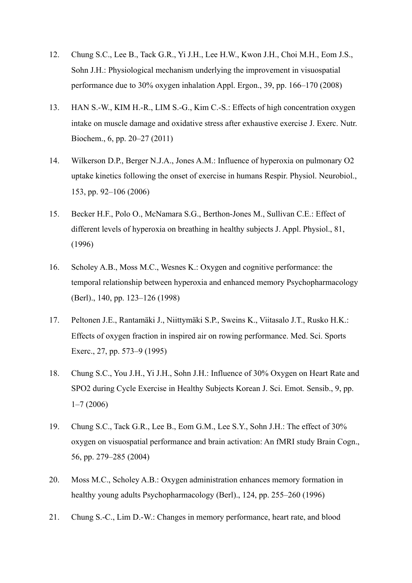- 12. Chung S.C., Lee B., Tack G.R., Yi J.H., Lee H.W., Kwon J.H., Choi M.H., Eom J.S., Sohn J.H.: Physiological mechanism underlying the improvement in visuospatial performance due to 30% oxygen inhalation Appl. Ergon., 39, pp. 166–170 (2008)
- 13. HAN S.-W., KIM H.-R., LIM S.-G., Kim C.-S.: Effects of high concentration oxygen intake on muscle damage and oxidative stress after exhaustive exercise J. Exerc. Nutr. Biochem., 6, pp. 20–27 (2011)
- 14. Wilkerson D.P., Berger N.J.A., Jones A.M.: Influence of hyperoxia on pulmonary O2 uptake kinetics following the onset of exercise in humans Respir. Physiol. Neurobiol., 153, pp. 92–106 (2006)
- 15. Becker H.F., Polo O., McNamara S.G., Berthon-Jones M., Sullivan C.E.: Effect of different levels of hyperoxia on breathing in healthy subjects J. Appl. Physiol., 81, (1996)
- 16. Scholey A.B., Moss M.C., Wesnes K.: Oxygen and cognitive performance: the temporal relationship between hyperoxia and enhanced memory Psychopharmacology (Berl)., 140, pp. 123–126 (1998)
- 17. Peltonen J.E., Rantamäki J., Niittymäki S.P., Sweins K., Viitasalo J.T., Rusko H.K.: Effects of oxygen fraction in inspired air on rowing performance. Med. Sci. Sports Exerc., 27, pp. 573–9 (1995)
- 18. Chung S.C., You J.H., Yi J.H., Sohn J.H.: Influence of 30% Oxygen on Heart Rate and SPO2 during Cycle Exercise in Healthy Subjects Korean J. Sci. Emot. Sensib., 9, pp. 1–7 (2006)
- 19. Chung S.C., Tack G.R., Lee B., Eom G.M., Lee S.Y., Sohn J.H.: The effect of 30% oxygen on visuospatial performance and brain activation: An fMRI study Brain Cogn., 56, pp. 279–285 (2004)
- 20. Moss M.C., Scholey A.B.: Oxygen administration enhances memory formation in healthy young adults Psychopharmacology (Berl)., 124, pp. 255–260 (1996)
- 21. Chung S.-C., Lim D.-W.: Changes in memory performance, heart rate, and blood